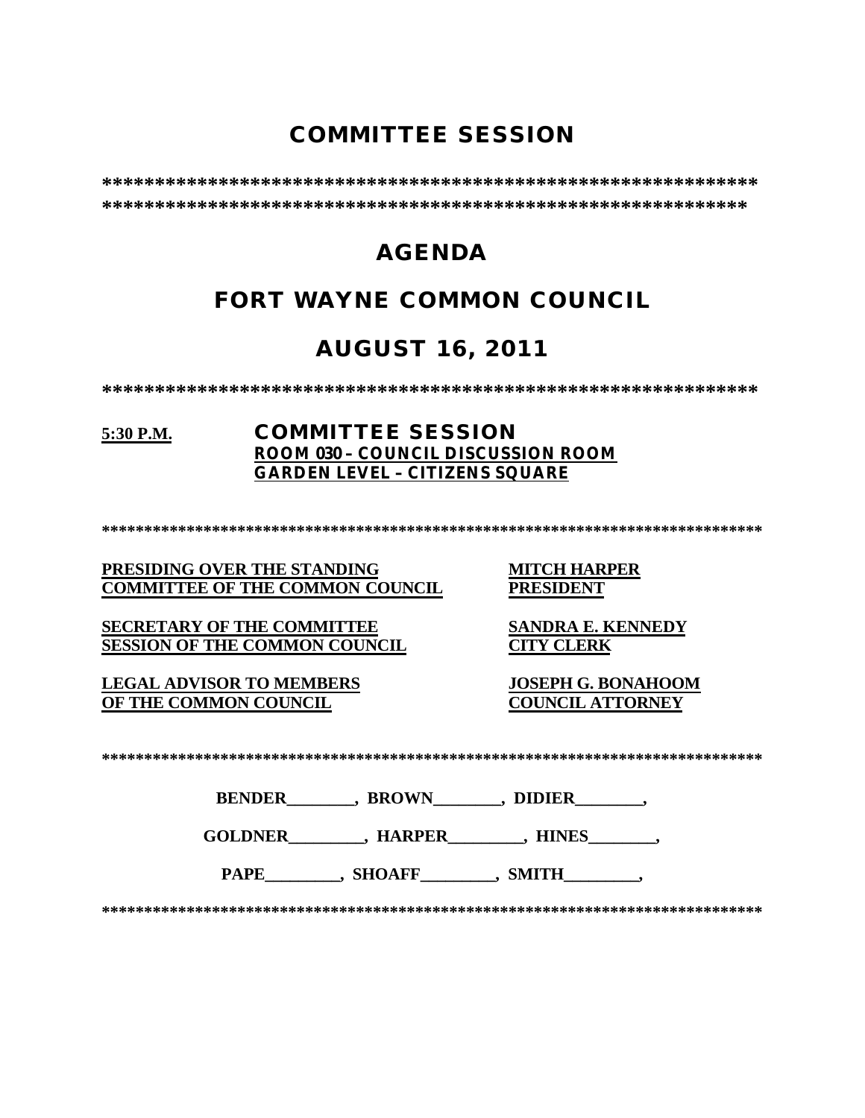# **COMMITTEE SESSION**

**\*\*\*\*\*\*\*\*\*\*\*\*\*\*\*\*\*\*\*\*\*\*\*\*\*\*\*\*\*\*\*\*\*\*\*\*\*\*\*\*\*\*\*\*\*\*\*\*\*\*\*\*\*\*\*\*\*\*\*\*\*\* \*\*\*\*\*\*\*\*\*\*\*\*\*\*\*\*\*\*\*\*\*\*\*\*\*\*\*\*\*\*\*\*\*\*\*\*\*\*\*\*\*\*\*\*\*\*\*\*\*\*\*\*\*\*\*\*\*\*\*\*\***

# **AGENDA**

# **FORT WAYNE COMMON COUNCIL**

# **AUGUST 16, 2011**

**\*\*\*\*\*\*\*\*\*\*\*\*\*\*\*\*\*\*\*\*\*\*\*\*\*\*\*\*\*\*\*\*\*\*\*\*\*\*\*\*\*\*\*\*\*\*\*\*\*\*\*\*\*\*\*\*\*\*\*\*\*\***

### **5:30 P.M. COMMITTEE SESSION ROOM 030 – COUNCIL DISCUSSION ROOM GARDEN LEVEL – CITIZENS SQUARE**

**\*\*\*\*\*\*\*\*\*\*\*\*\*\*\*\*\*\*\*\*\*\*\*\*\*\*\*\*\*\*\*\*\*\*\*\*\*\*\*\*\*\*\*\*\*\*\*\*\*\*\*\*\*\*\*\*\*\*\*\*\*\*\*\*\*\*\*\*\*\*\*\*\*\*\*\*\*\***

### **PRESIDING OVER THE STANDING MITCH HARPER<br>
COMMITTEE OF THE COMMON COUNCIL PRESIDENT COMMITTEE OF THE COMMON COUNCIL**

**SECRETARY OF THE COMMITTEE SANDRA E. KENNEDY**<br>**SESSION OF THE COMMON COUNCIL CITY CLERK SESSION OF THE COMMON COUNCIL** 

**LEGAL ADVISOR TO MEMBERS JOSEPH G. BONAHOOM OF THE COMMON COUNCIL** 

| . |
|---|
|---|

| <b>BENDER</b> | <b>BROWN</b> | <b>DIDIER</b> |
|---------------|--------------|---------------|
|               |              |               |

**GOLDNER\_\_\_\_\_\_\_\_\_, HARPER\_\_\_\_\_\_\_\_\_, HINES\_\_\_\_\_\_\_\_,** 

PAPE , SHOAFF , SMITH

**\*\*\*\*\*\*\*\*\*\*\*\*\*\*\*\*\*\*\*\*\*\*\*\*\*\*\*\*\*\*\*\*\*\*\*\*\*\*\*\*\*\*\*\*\*\*\*\*\*\*\*\*\*\*\*\*\*\*\*\*\*\*\*\*\*\*\*\*\*\*\*\*\*\*\*\*\*\***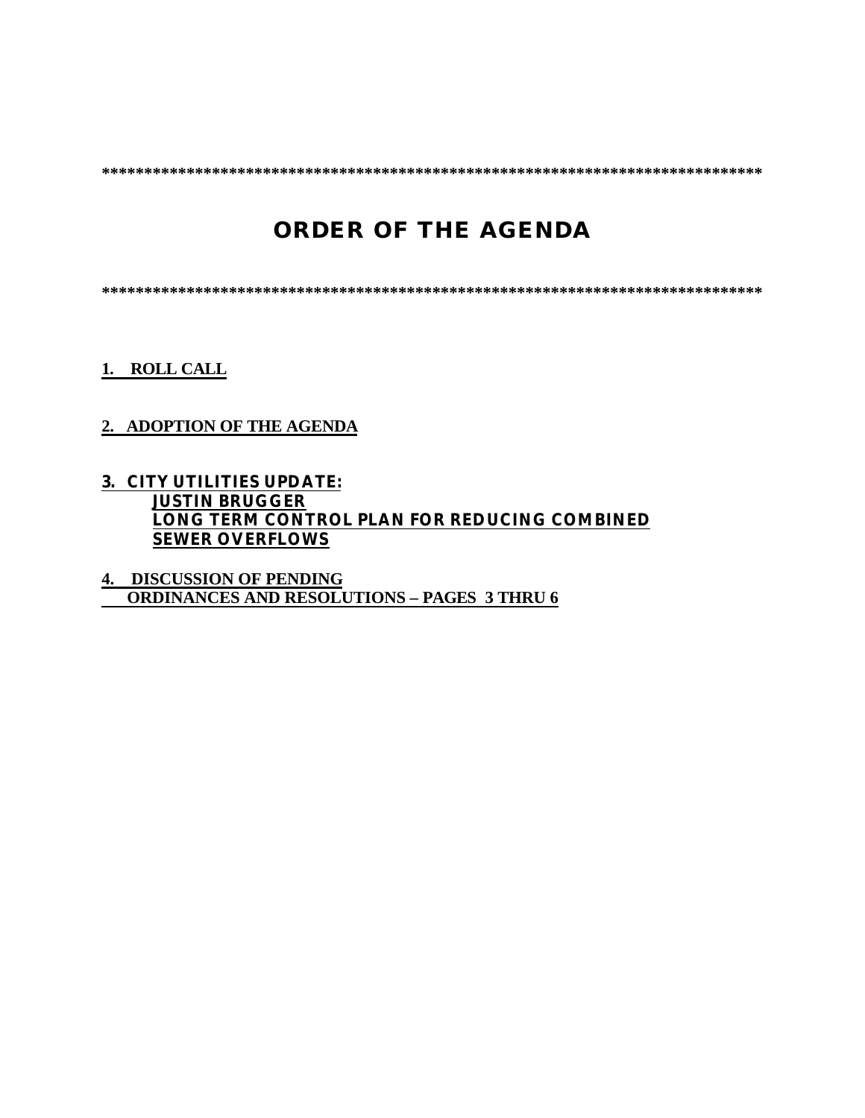**\*\*\*\*\*\*\*\*\*\*\*\*\*\*\*\*\*\*\*\*\*\*\*\*\*\*\*\*\*\*\*\*\*\*\*\*\*\*\*\*\*\*\*\*\*\*\*\*\*\*\*\*\*\*\*\*\*\*\*\*\*\*\*\*\*\*\*\*\*\*\*\*\*\*\*\*\*\***

# **ORDER OF THE AGENDA**

**\*\*\*\*\*\*\*\*\*\*\*\*\*\*\*\*\*\*\*\*\*\*\*\*\*\*\*\*\*\*\*\*\*\*\*\*\*\*\*\*\*\*\*\*\*\*\*\*\*\*\*\*\*\*\*\*\*\*\*\*\*\*\*\*\*\*\*\*\*\*\*\*\*\*\*\*\*\***

**1. ROLL CALL**

### **2. ADOPTION OF THE AGENDA**

### **3. CITY UTILITIES UPDATE: JUSTIN BRUGGER LONG TERM CONTROL PLAN FOR REDUCING COMBINED SEWER OVERFLOWS**

**4. DISCUSSION OF PENDING ORDINANCES AND RESOLUTIONS – PAGES 3 THRU 6**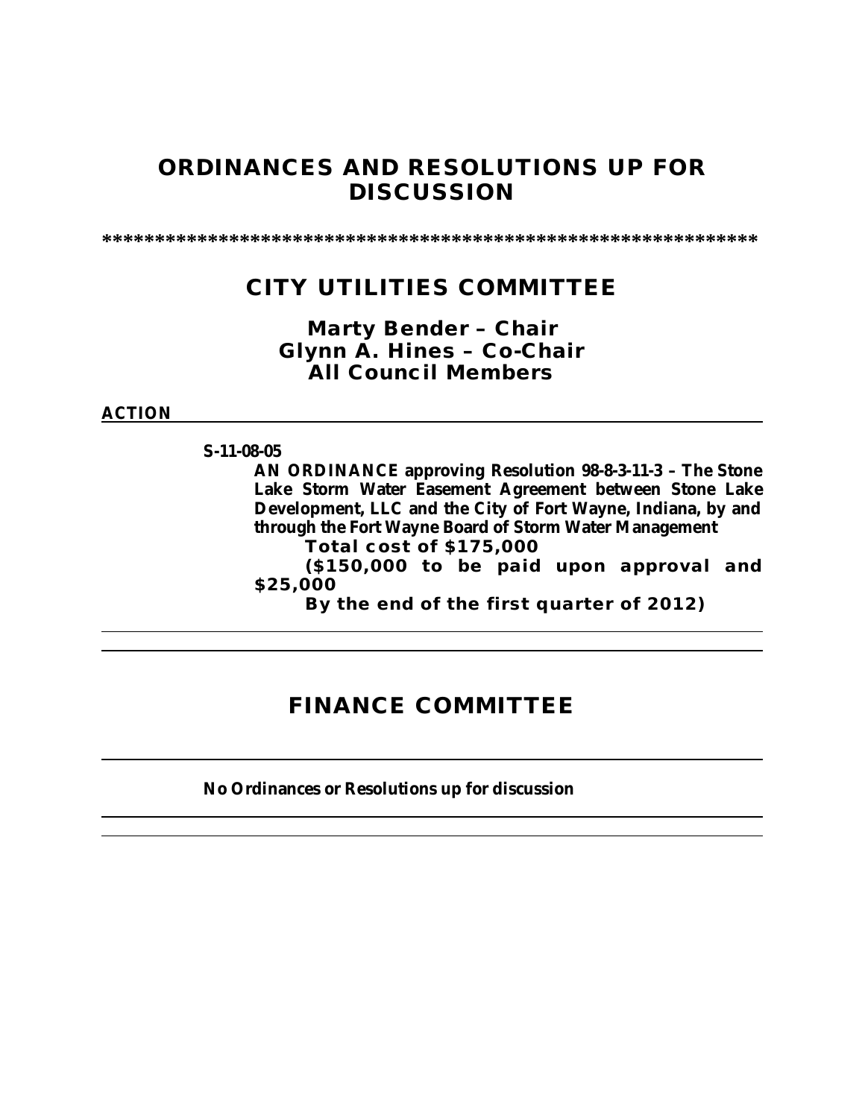## **ORDINANCES AND RESOLUTIONS UP FOR DISCUSSION**

**\*\*\*\*\*\*\*\*\*\*\*\*\*\*\*\*\*\*\*\*\*\*\*\*\*\*\*\*\*\*\*\*\*\*\*\*\*\*\*\*\*\*\*\*\*\*\*\*\*\*\*\*\*\*\*\*\*\*\*\*\*\***

## **CITY UTILITIES COMMITTEE**

### *Marty Bender – Chair Glynn A. Hines – Co-Chair All Council Members*

### **ACTION**

**S-11-08-05**

**AN ORDINANCE approving Resolution 98-8-3-11-3 – The Stone Lake Storm Water Easement Agreement between Stone Lake Development, LLC and the City of Fort Wayne, Indiana, by and through the Fort Wayne Board of Storm Water Management**

**Total cost of \$175,000**

**(\$150,000 to be paid upon approval and \$25,000**

**By the end of the first quarter of 2012)**

### **FINANCE COMMITTEE**

### **No Ordinances or Resolutions up for discussion**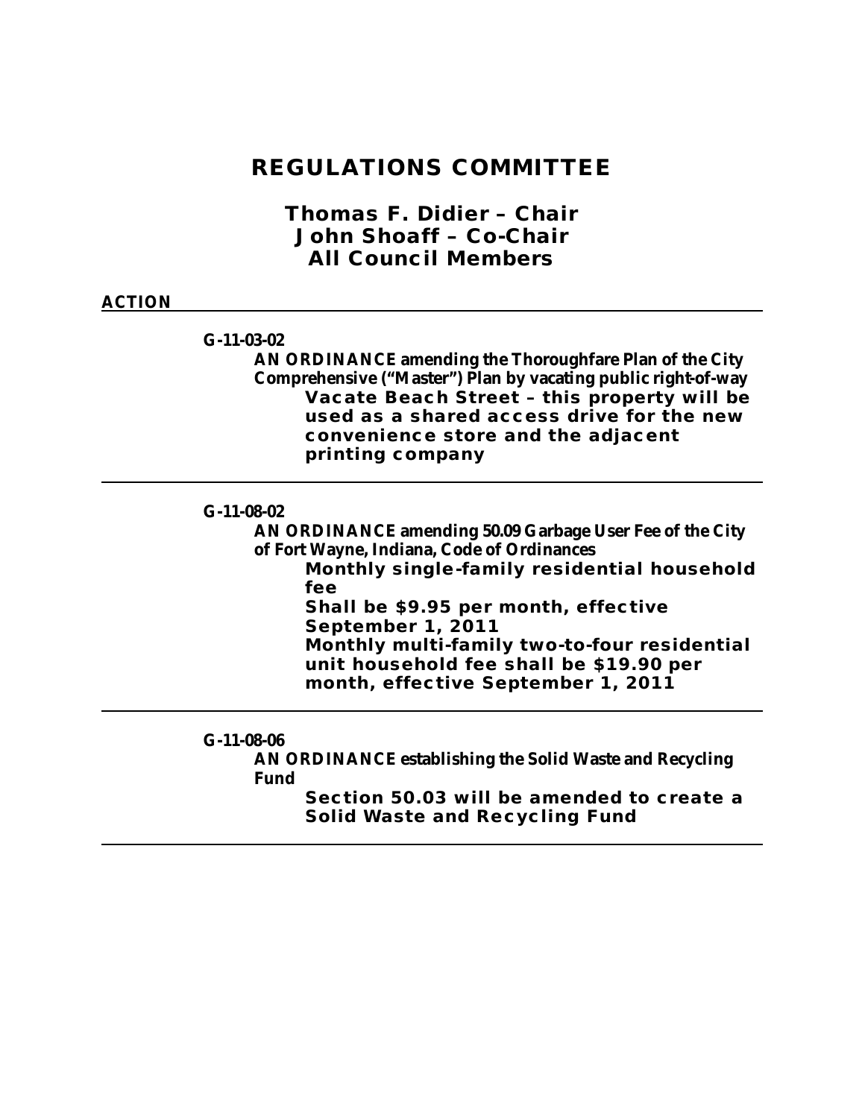### **REGULATIONS COMMITTEE**

*Thomas F. Didier – Chair John Shoaff – Co-Chair All Council Members*

### **ACTION**

**G-11-03-02**

**AN ORDINANCE amending the Thoroughfare Plan of the City Comprehensive ("Master") Plan by vacating public right-of-way Vacate Beach Street – this property will be used as a shared access drive for the new convenience store and the adjacent printing company**

### **G-11-08-02**

**AN ORDINANCE amending 50.09 Garbage User Fee of the City of Fort Wayne, Indiana, Code of Ordinances**

**Monthly single-family residential household fee**

**Shall be \$9.95 per month, effective September 1, 2011 Monthly multi-family two-to-four residential** 

**unit household fee shall be \$19.90 per month, effective September 1, 2011**

#### **G-11-08-06**

**AN ORDINANCE establishing the Solid Waste and Recycling Fund**

> **Section 50.03 will be amended to create a Solid Waste and Recycling Fund**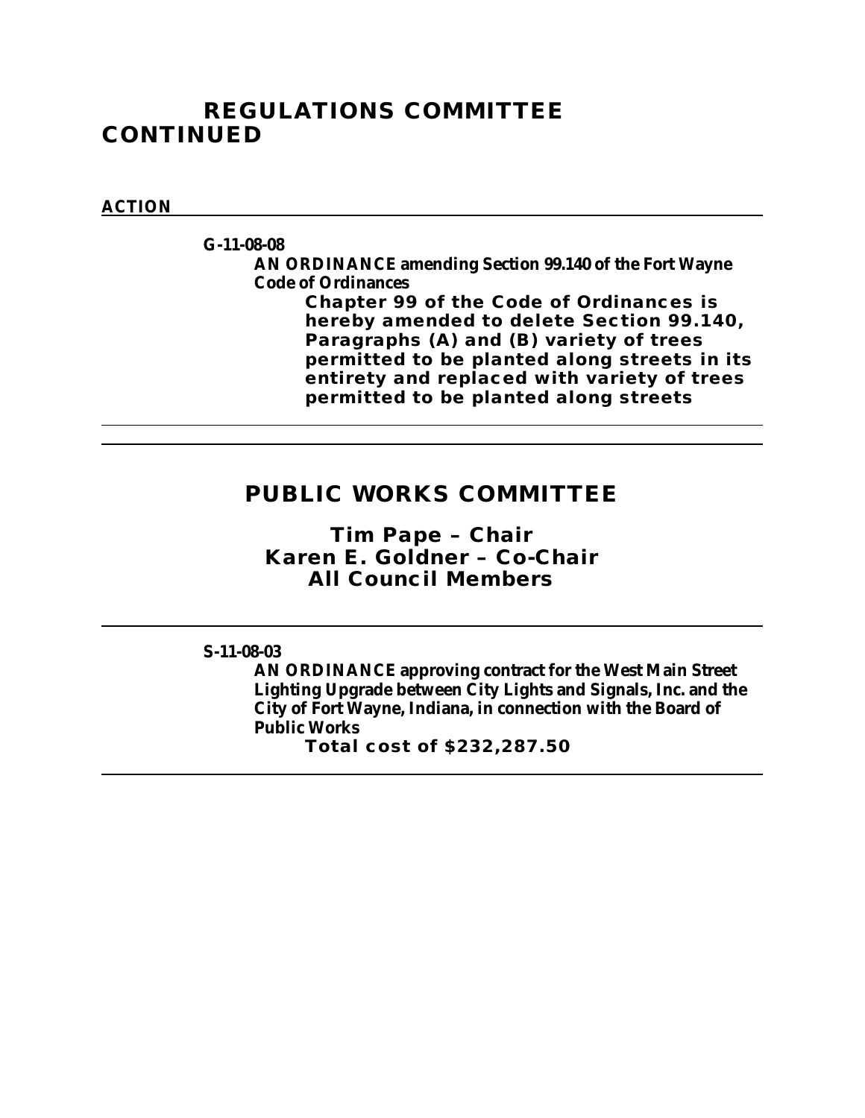## **REGULATIONS COMMITTEE CONTINUED**

### **ACTION**

**G-11-08-08**

**AN ORDINANCE amending Section 99.140 of the Fort Wayne Code of Ordinances** 

**Chapter 99 of the Code of Ordinances is hereby amended to delete Section 99.140, Paragraphs (A) and (B) variety of trees permitted to be planted along streets in its entirety and replaced with variety of trees permitted to be planted along streets**

## **PUBLIC WORKS COMMITTEE**

*Tim Pape – Chair Karen E. Goldner – Co-Chair All Council Members*

**S-11-08-03**

**AN ORDINANCE approving contract for the West Main Street Lighting Upgrade between City Lights and Signals, Inc. and the City of Fort Wayne, Indiana, in connection with the Board of Public Works Total cost of \$232,287.50**